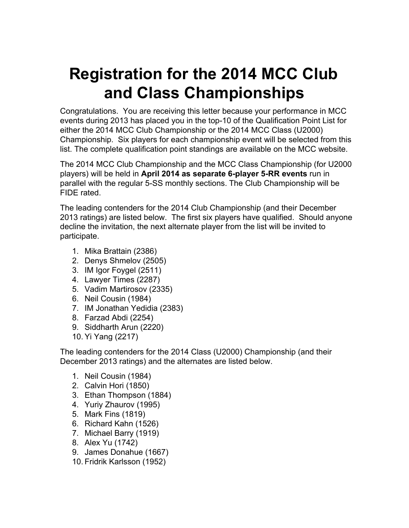# **Registration for the 2014 MCC Club and Class Championships**

Congratulations. You are receiving this letter because your performance in MCC events during 2013 has placed you in the top-10 of the Qualification Point List for either the 2014 MCC Club Championship or the 2014 MCC Class (U2000) Championship. Six players for each championship event will be selected from this list. The complete qualification point standings are available on the MCC website.

The 2014 MCC Club Championship and the MCC Class Championship (for U2000 players) will be held in **April 2014 as separate 6player 5RR events** run in parallel with the regular 5-SS monthly sections. The Club Championship will be FIDE rated.

The leading contenders for the 2014 Club Championship (and their December 2013 ratings) are listed below. The first six players have qualified. Should anyone decline the invitation, the next alternate player from the list will be invited to participate.

- 1. Mika Brattain (2386)
- 2. Denys Shmelov (2505)
- 3. IM Igor Foygel (2511)
- 4. Lawyer Times (2287)
- 5. Vadim Martirosov (2335)
- 6. Neil Cousin (1984)
- 7. IM Jonathan Yedidia (2383)
- 8. Farzad Abdi (2254)
- 9. Siddharth Arun (2220)
- 10. Yi Yang (2217)

The leading contenders for the 2014 Class (U2000) Championship (and their December 2013 ratings) and the alternates are listed below.

- 1. Neil Cousin (1984)
- 2. Calvin Hori (1850)
- 3. Ethan Thompson (1884)
- 4. Yuriy Zhaurov (1995)
- 5. Mark Fins (1819)
- 6. Richard Kahn (1526)
- 7. Michael Barry (1919)
- 8. Alex Yu (1742)
- 9. James Donahue (1667)
- 10. Fridrik Karlsson (1952)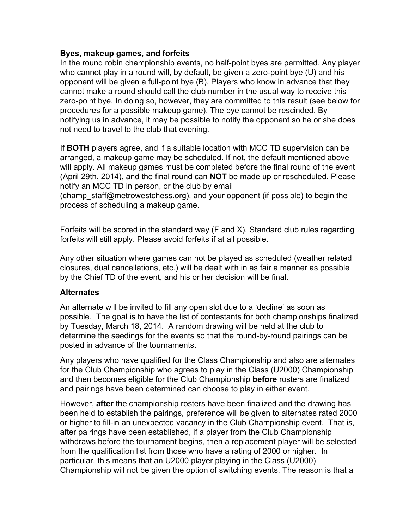#### **Byes, makeup games, and forfeits**

In the round robin championship events, no half-point byes are permitted. Any player who cannot play in a round will, by default, be given a zero-point bye (U) and his opponent will be given a full-point bye  $(B)$ . Players who know in advance that they cannot make a round should call the club number in the usual way to receive this zero-point bye. In doing so, however, they are committed to this result (see below for procedures for a possible makeup game). The bye cannot be rescinded. By notifying us in advance, it may be possible to notify the opponent so he or she does not need to travel to the club that evening.

If **BOTH** players agree, and if a suitable location with MCC TD supervision can be arranged, a makeup game may be scheduled. If not, the default mentioned above will apply. All makeup games must be completed before the final round of the event (April 29th, 2014), and the final round can **NOT** be made up or rescheduled. Please notify an MCC TD in person, or the club by email

(champ\_staff@metrowestchess.org), and your opponent (if possible) to begin the process of scheduling a makeup game.

Forfeits will be scored in the standard way (F and X). Standard club rules regarding forfeits will still apply. Please avoid forfeits if at all possible.

Any other situation where games can not be played as scheduled (weather related closures, dual cancellations, etc.) will be dealt with in as fair a manner as possible by the Chief TD of the event, and his or her decision will be final.

#### **Alternates**

An alternate will be invited to fill any open slot due to a 'decline' as soon as possible. The goal is to have the list of contestants for both championships finalized by Tuesday, March 18, 2014. A random drawing will be held at the club to determine the seedings for the events so that the round-by-round pairings can be posted in advance of the tournaments.

Any players who have qualified for the Class Championship and also are alternates for the Club Championship who agrees to play in the Class (U2000) Championship and then becomes eligible for the Club Championship **before** rosters are finalized and pairings have been determined can choose to play in either event.

However, **after** the championship rosters have been finalized and the drawing has been held to establish the pairings, preference will be given to alternates rated 2000 or higher to fill-in an unexpected vacancy in the Club Championship event. That is, after pairings have been established, if a player from the Club Championship withdraws before the tournament begins, then a replacement player will be selected from the qualification list from those who have a rating of 2000 or higher. In particular, this means that an U2000 player playing in the Class (U2000) Championship will not be given the option of switching events. The reason is that a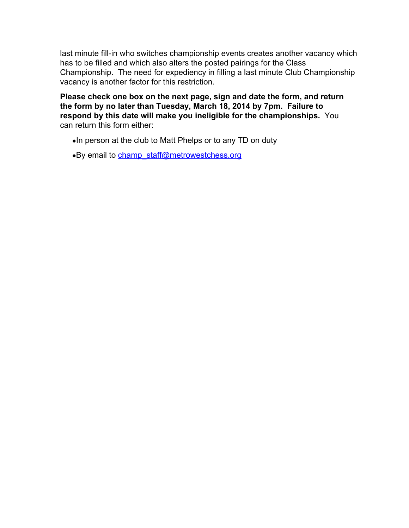last minute fill-in who switches championship events creates another vacancy which has to be filled and which also alters the posted pairings for the Class Championship. The need for expediency in filling a last minute Club Championship vacancy is another factor for this restriction.

**Please check one box on the next page, sign and date the form, and return the form by no later than Tuesday, March 18, 2014 by 7pm. Failure to respond by this date will make you ineligible for the championships.** You can return this form either:

- ●In person at the club to Matt Phelps or to any TD on duty
- •By email to [champ\\_staff@metrowestchess.org](mailto:champ_staff@metrowestchess.org)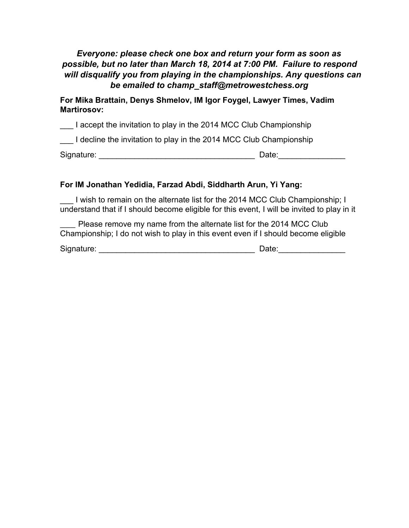## *Everyone: please check one box and return your form as soon as possible, but no later than March 18, 2014 at 7:00 PM. Failure to respond will disqualify you from playing in the championships. Any questions can be emailed to champ\_staff@metrowestchess.org*

**For Mika Brattain, Denys Shmelov, IM Igor Foygel, Lawyer Times, Vadim Martirosov:**

I accept the invitation to play in the 2014 MCC Club Championship

I decline the invitation to play in the 2014 MCC Club Championship

Signature: \_\_\_\_\_\_\_\_\_\_\_\_\_\_\_\_\_\_\_\_\_\_\_\_\_\_\_\_\_\_\_\_\_\_\_ Date:\_\_\_\_\_\_\_\_\_\_\_\_\_\_\_

#### **For IM Jonathan Yedidia, Farzad Abdi, Siddharth Arun, Yi Yang:**

I wish to remain on the alternate list for the 2014 MCC Club Championship; I understand that if I should become eligible for this event, I will be invited to play in it

Please remove my name from the alternate list for the 2014 MCC Club Championship; I do not wish to play in this event even if I should become eligible

Signature: \_\_\_\_\_\_\_\_\_\_\_\_\_\_\_\_\_\_\_\_\_\_\_\_\_\_\_\_\_\_\_\_\_\_\_ Date:\_\_\_\_\_\_\_\_\_\_\_\_\_\_\_